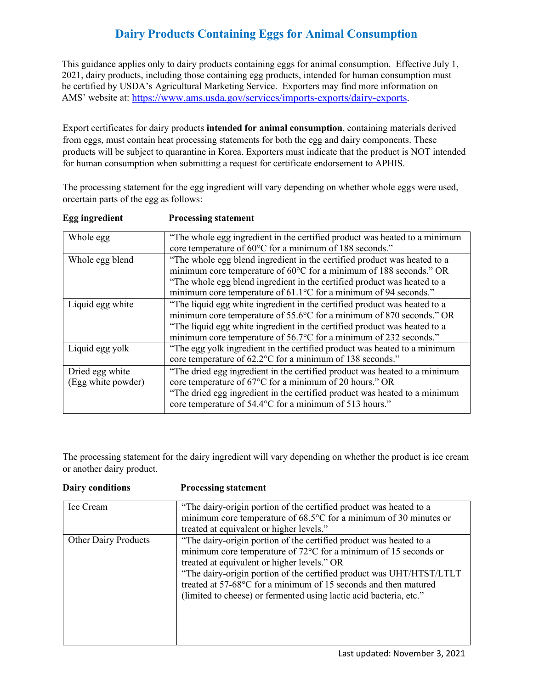## **Dairy Products Containing Eggs for Animal Consumption**

 This guidance applies only to dairy products containing eggs for animal consumption. Effective July 1, 2021, dairy products, including those containing egg products, intended for human consumption must be certified by USDA's Agricultural Marketing Service. Exporters may find more information on AMS' website at: [https://www.ams.usda.gov/services/imports-exports/dairy-exports.](https://www.ams.usda.gov/services/imports-exports/dairy-exports)

 from eggs, must contain heat processing statements for both the egg and dairy components. These products will be subject to quarantine in Korea. Exporters must indicate that the product is NOT intended Export certificates for dairy products **intended for animal consumption**, containing materials derived for human consumption when submitting a request for certificate endorsement to APHIS.

 orcertain parts of the egg as follows: The processing statement for the egg ingredient will vary depending on whether whole eggs were used,

| Whole egg          | "The whole egg ingredient in the certified product was heated to a minimum |
|--------------------|----------------------------------------------------------------------------|
|                    | core temperature of 60°C for a minimum of 188 seconds."                    |
| Whole egg blend    | "The whole egg blend ingredient in the certified product was heated to a   |
|                    | minimum core temperature of 60°C for a minimum of 188 seconds." OR         |
|                    | "The whole egg blend ingredient in the certified product was heated to a   |
|                    | minimum core temperature of 61.1°C for a minimum of 94 seconds."           |
| Liquid egg white   | "The liquid egg white ingredient in the certified product was heated to a  |
|                    | minimum core temperature of 55.6°C for a minimum of 870 seconds." OR       |
|                    | "The liquid egg white ingredient in the certified product was heated to a  |
|                    | minimum core temperature of 56.7°C for a minimum of 232 seconds."          |
| Liquid egg yolk    | "The egg yolk ingredient in the certified product was heated to a minimum  |
|                    | core temperature of 62.2°C for a minimum of 138 seconds."                  |
| Dried egg white    | "The dried egg ingredient in the certified product was heated to a minimum |
| (Egg white powder) | core temperature of 67°C for a minimum of 20 hours." OR                    |
|                    | "The dried egg ingredient in the certified product was heated to a minimum |
|                    | core temperature of 54.4°C for a minimum of 513 hours."                    |
|                    |                                                                            |

## **Egg** ingredient **Processing statement**

 The processing statement for the dairy ingredient will vary depending on whether the product is ice cream or another dairy product.

| <b>Dairy conditions</b>     | <b>Processing statement</b>                                                                                                                                                                                                                                                                                                                                                                                     |
|-----------------------------|-----------------------------------------------------------------------------------------------------------------------------------------------------------------------------------------------------------------------------------------------------------------------------------------------------------------------------------------------------------------------------------------------------------------|
| Ice Cream                   | "The dairy-origin portion of the certified product was heated to a<br>minimum core temperature of 68.5°C for a minimum of 30 minutes or<br>treated at equivalent or higher levels."                                                                                                                                                                                                                             |
| <b>Other Dairy Products</b> | "The dairy-origin portion of the certified product was heated to a<br>minimum core temperature of $72^{\circ}$ C for a minimum of 15 seconds or<br>treated at equivalent or higher levels." OR<br>"The dairy-origin portion of the certified product was UHT/HTST/LTLT<br>treated at 57-68°C for a minimum of 15 seconds and then matured<br>(limited to cheese) or fermented using lactic acid bacteria, etc." |